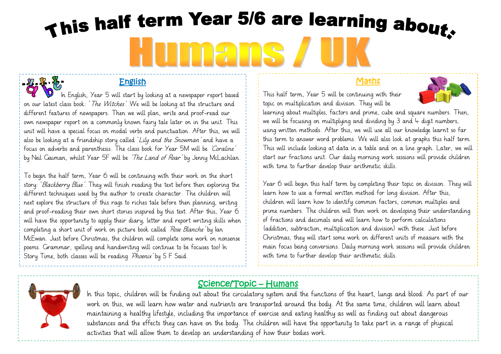# This half term Year 5/6 are learning about. Ins **MA**

#### English

In English, Year 5 will start by looking at a newspaper report based on our latest class book: 'The Witches'. We will be looking at the structure and different features of newspapers. Then we will plan, write and proof-read our own newspaper report on a commonly known fairy tale later on in the unit. This unit will have a special focus on modal verbs and punctuation. After this, we will also be looking at a friendship story called 'Lily and the Snowman' and have a focus on adverbs and parenthesis. The class book for Year 5M will be 'Coraline' by Neil Gaiman, whilst Year 5F will be 'The Land of Roar' by Jenny McLachlan.

To begin the half term, Year 6 will be continuing with their work on the short story: 'Blackberry Blue'. They will finish reading the text before then exploring the different techniques used by the author to create character. The children will next explore the structure of this rags to riches tale before then planning, writing and proof-reading their own short stories inspired by this text. After this, Year 6 will have the opportunity to apply their diary, letter and report writing skills when completing a short unit of work on picture book called 'Rose Blanche' by Ian McEwan. Just before Christmas, the children will complete some work on nonsense poems. Grammar, spelling and handwriting will continue to be focuses too! In Story Time, both classes will be reading 'Phoenix' by S F Said.

#### Maths

This half term, Year 5 will be continuing with their topic on multiplication and division. They will be

learning about multiples, factors and prime, cube and square numbers. Then, we will be focusing on multiplying and dividing by  $3$  and  $4$  digit numbers, using written methods. After this, we will use all our knowledge learnt so far this term to answer word problems. We will also look at graphs this half term. This will include looking at data in a table and on a line graph. Later, we will start our fractions unit. Our daily morning work sessions will provide children with time to further develop their arithmetic skills.

Year 6 will begin this half term by completing their topic on division. They will learn how to use a formal written method for long division. After this, children will learn how to identify common factors, common multiples and prime numbers. The children will then work on developing their understanding of fractions and decimals and will learn how to perform calculations (addition, subtraction, multiplication and division) with these. Just before Christmas, they will start some work on different units of measure with the main focus being conversions. Daily morning work sessions will provide children with time to further develop their arithmetic skills.



#### Science/Topic – Humans

In this topic, children will be finding out about the circulatory system and the functions of the heart, lungs and blood. As part of our work on this, we will learn how water and nutrients are transported around the body. At the same time, children will learn about maintaining a healthy lifestyle, including the importance of exercise and eating healthy as well as finding out about dangerous substances and the effects they can have on the body. The children will have the opportunity to take part in a range of physical activities that will allow them to develop an understanding of how their bodies work.